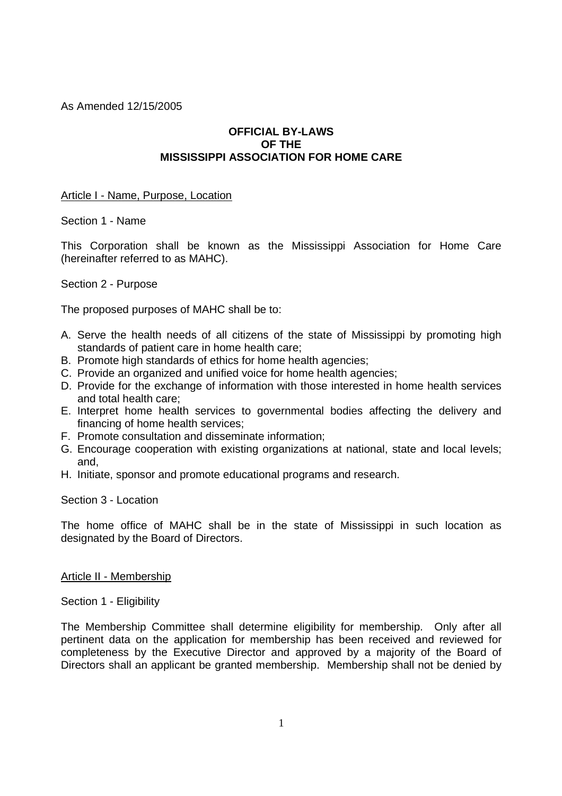As Amended 12/15/2005

# **OFFICIAL BY-LAWS OF THE MISSISSIPPI ASSOCIATION FOR HOME CARE**

### Article I - Name, Purpose, Location

Section 1 - Name

This Corporation shall be known as the Mississippi Association for Home Care (hereinafter referred to as MAHC).

Section 2 - Purpose

The proposed purposes of MAHC shall be to:

- A. Serve the health needs of all citizens of the state of Mississippi by promoting high standards of patient care in home health care;
- B. Promote high standards of ethics for home health agencies;
- C. Provide an organized and unified voice for home health agencies;
- D. Provide for the exchange of information with those interested in home health services and total health care;
- E. Interpret home health services to governmental bodies affecting the delivery and financing of home health services;
- F. Promote consultation and disseminate information;
- G. Encourage cooperation with existing organizations at national, state and local levels; and,
- H. Initiate, sponsor and promote educational programs and research.

#### Section 3 - Location

The home office of MAHC shall be in the state of Mississippi in such location as designated by the Board of Directors.

## Article II - Membership

Section 1 - Eligibility

The Membership Committee shall determine eligibility for membership. Only after all pertinent data on the application for membership has been received and reviewed for completeness by the Executive Director and approved by a majority of the Board of Directors shall an applicant be granted membership. Membership shall not be denied by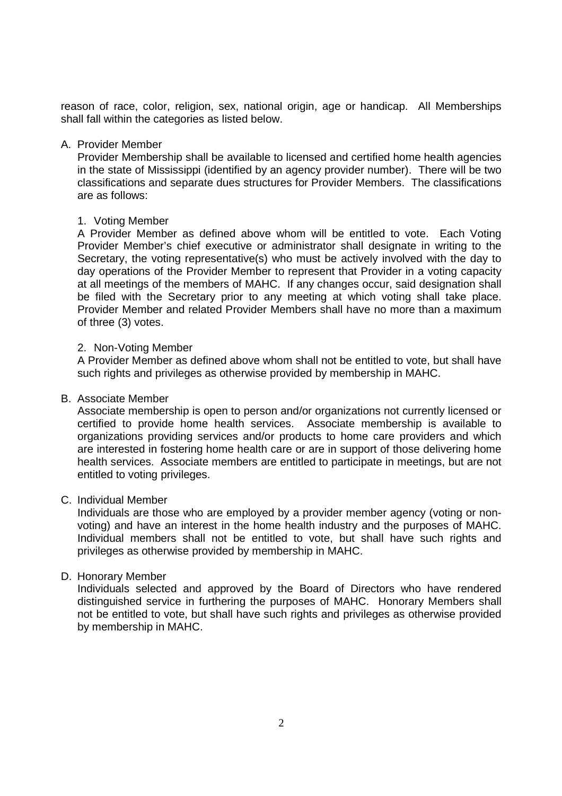reason of race, color, religion, sex, national origin, age or handicap. All Memberships shall fall within the categories as listed below.

### A. Provider Member

Provider Membership shall be available to licensed and certified home health agencies in the state of Mississippi (identified by an agency provider number). There will be two classifications and separate dues structures for Provider Members. The classifications are as follows:

### 1. Voting Member

A Provider Member as defined above whom will be entitled to vote. Each Voting Provider Member's chief executive or administrator shall designate in writing to the Secretary, the voting representative(s) who must be actively involved with the day to day operations of the Provider Member to represent that Provider in a voting capacity at all meetings of the members of MAHC. If any changes occur, said designation shall be filed with the Secretary prior to any meeting at which voting shall take place. Provider Member and related Provider Members shall have no more than a maximum of three (3) votes.

### 2. Non-Voting Member

A Provider Member as defined above whom shall not be entitled to vote, but shall have such rights and privileges as otherwise provided by membership in MAHC.

### B. Associate Member

Associate membership is open to person and/or organizations not currently licensed or certified to provide home health services. Associate membership is available to organizations providing services and/or products to home care providers and which are interested in fostering home health care or are in support of those delivering home health services. Associate members are entitled to participate in meetings, but are not entitled to voting privileges.

## C. Individual Member

Individuals are those who are employed by a provider member agency (voting or nonvoting) and have an interest in the home health industry and the purposes of MAHC. Individual members shall not be entitled to vote, but shall have such rights and privileges as otherwise provided by membership in MAHC.

## D. Honorary Member

Individuals selected and approved by the Board of Directors who have rendered distinguished service in furthering the purposes of MAHC. Honorary Members shall not be entitled to vote, but shall have such rights and privileges as otherwise provided by membership in MAHC.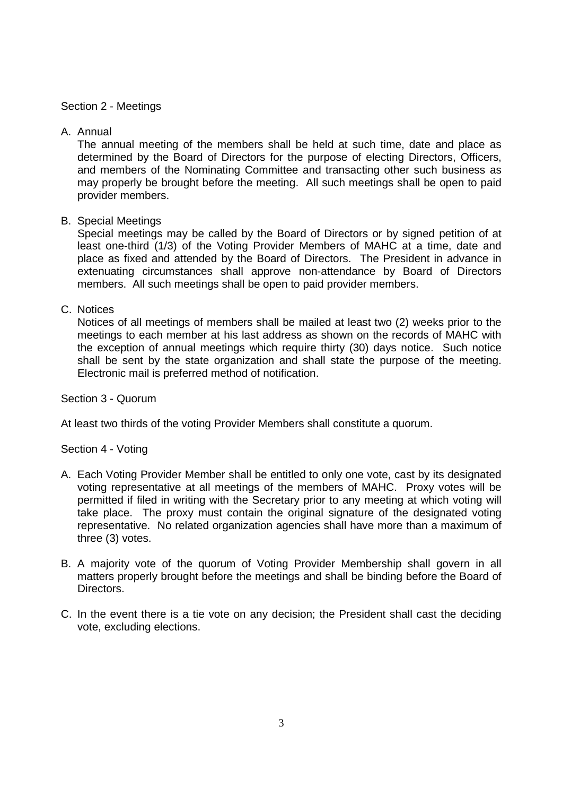## Section 2 - Meetings

# A. Annual

The annual meeting of the members shall be held at such time, date and place as determined by the Board of Directors for the purpose of electing Directors, Officers, and members of the Nominating Committee and transacting other such business as may properly be brought before the meeting. All such meetings shall be open to paid provider members.

# B. Special Meetings

Special meetings may be called by the Board of Directors or by signed petition of at least one-third (1/3) of the Voting Provider Members of MAHC at a time, date and place as fixed and attended by the Board of Directors. The President in advance in extenuating circumstances shall approve non-attendance by Board of Directors members. All such meetings shall be open to paid provider members.

## C. Notices

Notices of all meetings of members shall be mailed at least two (2) weeks prior to the meetings to each member at his last address as shown on the records of MAHC with the exception of annual meetings which require thirty (30) days notice. Such notice shall be sent by the state organization and shall state the purpose of the meeting. Electronic mail is preferred method of notification.

Section 3 - Quorum

At least two thirds of the voting Provider Members shall constitute a quorum.

# Section 4 - Voting

- A. Each Voting Provider Member shall be entitled to only one vote, cast by its designated voting representative at all meetings of the members of MAHC. Proxy votes will be permitted if filed in writing with the Secretary prior to any meeting at which voting will take place. The proxy must contain the original signature of the designated voting representative. No related organization agencies shall have more than a maximum of three (3) votes.
- B. A majority vote of the quorum of Voting Provider Membership shall govern in all matters properly brought before the meetings and shall be binding before the Board of Directors.
- C. In the event there is a tie vote on any decision; the President shall cast the deciding vote, excluding elections.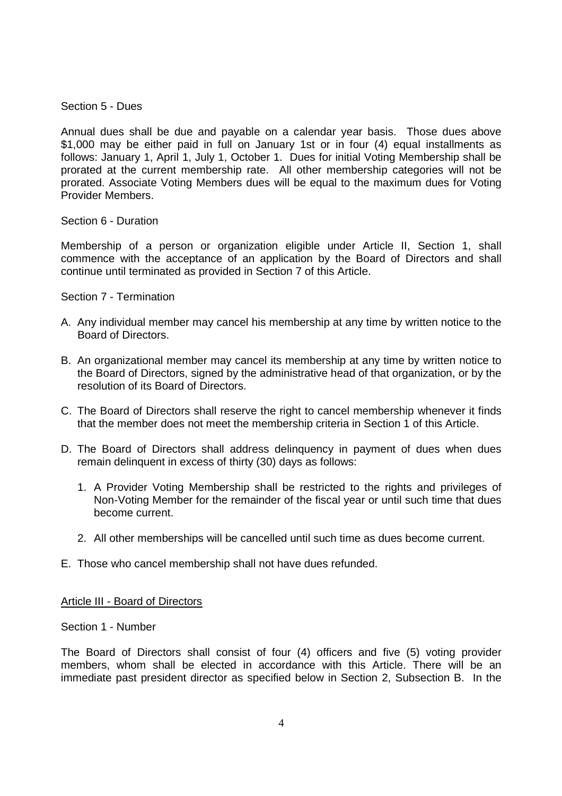Section 5 - Dues

Annual dues shall be due and payable on a calendar year basis. Those dues above \$1,000 may be either paid in full on January 1st or in four (4) equal installments as follows: January 1, April 1, July 1, October 1. Dues for initial Voting Membership shall be prorated at the current membership rate. All other membership categories will not be prorated. Associate Voting Members dues will be equal to the maximum dues for Voting Provider Members.

## Section 6 - Duration

Membership of a person or organization eligible under Article II, Section 1, shall commence with the acceptance of an application by the Board of Directors and shall continue until terminated as provided in Section 7 of this Article.

## Section 7 - Termination

- A. Any individual member may cancel his membership at any time by written notice to the Board of Directors.
- B. An organizational member may cancel its membership at any time by written notice to the Board of Directors, signed by the administrative head of that organization, or by the resolution of its Board of Directors.
- C. The Board of Directors shall reserve the right to cancel membership whenever it finds that the member does not meet the membership criteria in Section 1 of this Article.
- D. The Board of Directors shall address delinquency in payment of dues when dues remain delinquent in excess of thirty (30) days as follows:
	- 1. A Provider Voting Membership shall be restricted to the rights and privileges of Non-Voting Member for the remainder of the fiscal year or until such time that dues become current.
	- 2. All other memberships will be cancelled until such time as dues become current.
- E. Those who cancel membership shall not have dues refunded.

Article III - Board of Directors

## Section 1 - Number

The Board of Directors shall consist of four (4) officers and five (5) voting provider members, whom shall be elected in accordance with this Article. There will be an immediate past president director as specified below in Section 2, Subsection B. In the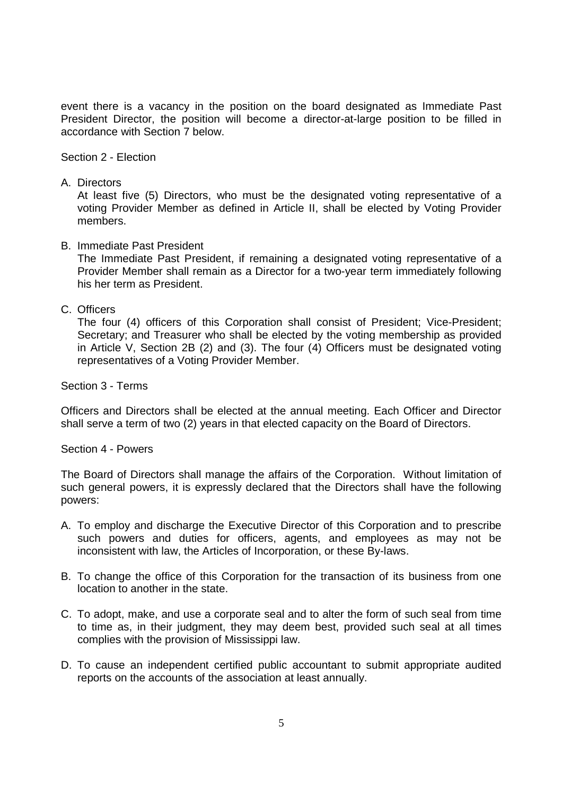event there is a vacancy in the position on the board designated as Immediate Past President Director, the position will become a director-at-large position to be filled in accordance with Section 7 below.

Section 2 - Election

A. Directors

At least five (5) Directors, who must be the designated voting representative of a voting Provider Member as defined in Article II, shall be elected by Voting Provider members.

B. Immediate Past President

The Immediate Past President, if remaining a designated voting representative of a Provider Member shall remain as a Director for a two-year term immediately following his her term as President.

C. Officers

The four (4) officers of this Corporation shall consist of President; Vice-President; Secretary; and Treasurer who shall be elected by the voting membership as provided in Article V, Section 2B (2) and (3). The four (4) Officers must be designated voting representatives of a Voting Provider Member.

Section 3 - Terms

Officers and Directors shall be elected at the annual meeting. Each Officer and Director shall serve a term of two (2) years in that elected capacity on the Board of Directors.

Section 4 - Powers

The Board of Directors shall manage the affairs of the Corporation. Without limitation of such general powers, it is expressly declared that the Directors shall have the following powers:

- A. To employ and discharge the Executive Director of this Corporation and to prescribe such powers and duties for officers, agents, and employees as may not be inconsistent with law, the Articles of Incorporation, or these By-laws.
- B. To change the office of this Corporation for the transaction of its business from one location to another in the state.
- C. To adopt, make, and use a corporate seal and to alter the form of such seal from time to time as, in their judgment, they may deem best, provided such seal at all times complies with the provision of Mississippi law.
- D. To cause an independent certified public accountant to submit appropriate audited reports on the accounts of the association at least annually.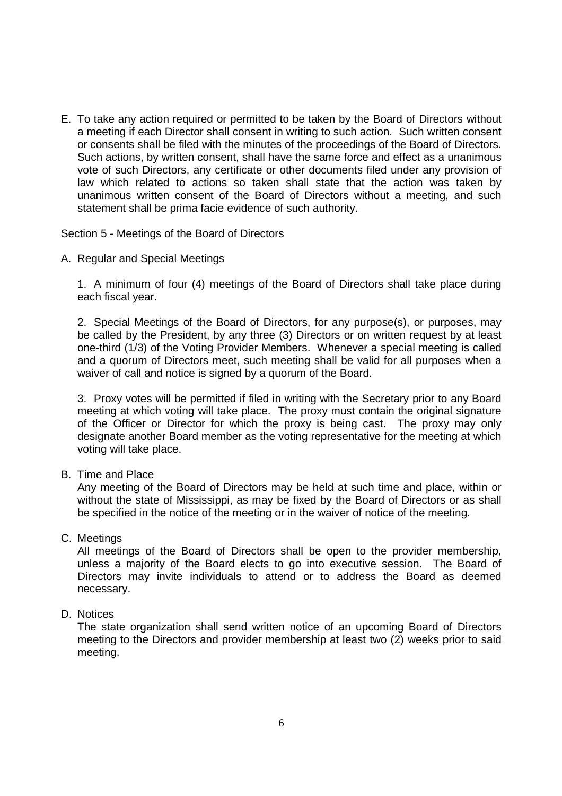E. To take any action required or permitted to be taken by the Board of Directors without a meeting if each Director shall consent in writing to such action. Such written consent or consents shall be filed with the minutes of the proceedings of the Board of Directors. Such actions, by written consent, shall have the same force and effect as a unanimous vote of such Directors, any certificate or other documents filed under any provision of law which related to actions so taken shall state that the action was taken by unanimous written consent of the Board of Directors without a meeting, and such statement shall be prima facie evidence of such authority.

Section 5 - Meetings of the Board of Directors

A. Regular and Special Meetings

1. A minimum of four (4) meetings of the Board of Directors shall take place during each fiscal year.

2. Special Meetings of the Board of Directors, for any purpose(s), or purposes, may be called by the President, by any three (3) Directors or on written request by at least one-third (1/3) of the Voting Provider Members. Whenever a special meeting is called and a quorum of Directors meet, such meeting shall be valid for all purposes when a waiver of call and notice is signed by a quorum of the Board.

3. Proxy votes will be permitted if filed in writing with the Secretary prior to any Board meeting at which voting will take place. The proxy must contain the original signature of the Officer or Director for which the proxy is being cast. The proxy may only designate another Board member as the voting representative for the meeting at which voting will take place.

B. Time and Place

Any meeting of the Board of Directors may be held at such time and place, within or without the state of Mississippi, as may be fixed by the Board of Directors or as shall be specified in the notice of the meeting or in the waiver of notice of the meeting.

C. Meetings

All meetings of the Board of Directors shall be open to the provider membership, unless a majority of the Board elects to go into executive session. The Board of Directors may invite individuals to attend or to address the Board as deemed necessary.

D. Notices

The state organization shall send written notice of an upcoming Board of Directors meeting to the Directors and provider membership at least two (2) weeks prior to said meeting.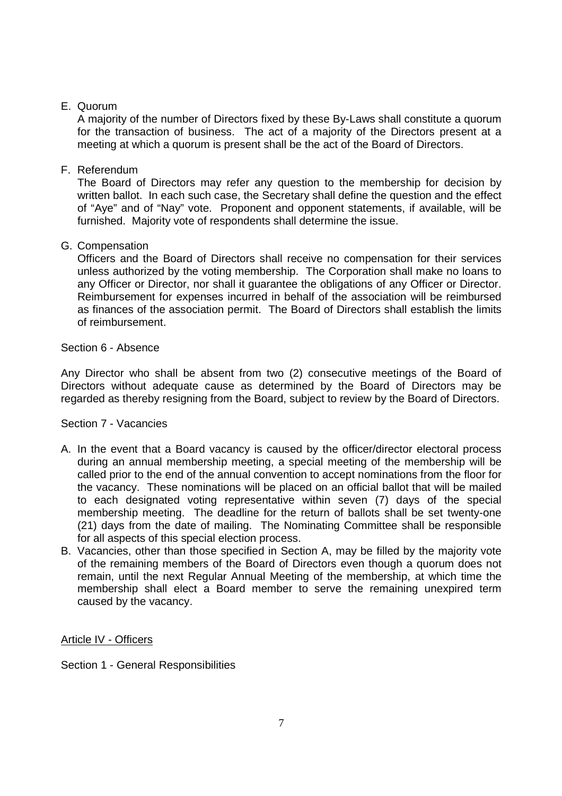# E. Quorum

A majority of the number of Directors fixed by these By-Laws shall constitute a quorum for the transaction of business. The act of a majority of the Directors present at a meeting at which a quorum is present shall be the act of the Board of Directors.

# F. Referendum

The Board of Directors may refer any question to the membership for decision by written ballot. In each such case, the Secretary shall define the question and the effect of "Aye" and of "Nay" vote. Proponent and opponent statements, if available, will be furnished. Majority vote of respondents shall determine the issue.

# G. Compensation

Officers and the Board of Directors shall receive no compensation for their services unless authorized by the voting membership. The Corporation shall make no loans to any Officer or Director, nor shall it guarantee the obligations of any Officer or Director. Reimbursement for expenses incurred in behalf of the association will be reimbursed as finances of the association permit. The Board of Directors shall establish the limits of reimbursement.

# Section 6 - Absence

Any Director who shall be absent from two (2) consecutive meetings of the Board of Directors without adequate cause as determined by the Board of Directors may be regarded as thereby resigning from the Board, subject to review by the Board of Directors.

## Section 7 - Vacancies

- A. In the event that a Board vacancy is caused by the officer/director electoral process during an annual membership meeting, a special meeting of the membership will be called prior to the end of the annual convention to accept nominations from the floor for the vacancy. These nominations will be placed on an official ballot that will be mailed to each designated voting representative within seven (7) days of the special membership meeting. The deadline for the return of ballots shall be set twenty-one (21) days from the date of mailing. The Nominating Committee shall be responsible for all aspects of this special election process.
- B. Vacancies, other than those specified in Section A, may be filled by the majority vote of the remaining members of the Board of Directors even though a quorum does not remain, until the next Regular Annual Meeting of the membership, at which time the membership shall elect a Board member to serve the remaining unexpired term caused by the vacancy.

# Article IV - Officers

Section 1 - General Responsibilities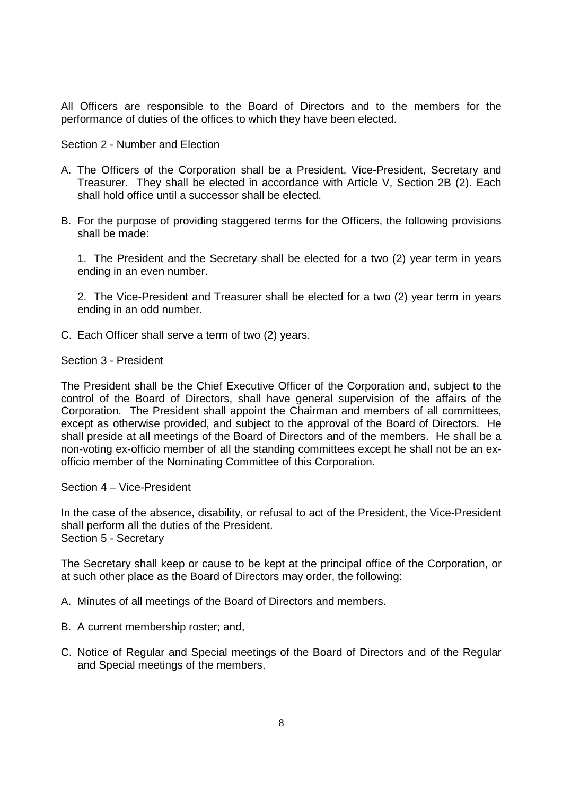All Officers are responsible to the Board of Directors and to the members for the performance of duties of the offices to which they have been elected.

Section 2 - Number and Election

- A. The Officers of the Corporation shall be a President, Vice-President, Secretary and Treasurer. They shall be elected in accordance with Article V, Section 2B (2). Each shall hold office until a successor shall be elected.
- B. For the purpose of providing staggered terms for the Officers, the following provisions shall be made:

1. The President and the Secretary shall be elected for a two (2) year term in years ending in an even number.

2. The Vice-President and Treasurer shall be elected for a two (2) year term in years ending in an odd number.

C. Each Officer shall serve a term of two (2) years.

Section 3 - President

The President shall be the Chief Executive Officer of the Corporation and, subject to the control of the Board of Directors, shall have general supervision of the affairs of the Corporation. The President shall appoint the Chairman and members of all committees, except as otherwise provided, and subject to the approval of the Board of Directors. He shall preside at all meetings of the Board of Directors and of the members. He shall be a non-voting ex-officio member of all the standing committees except he shall not be an exofficio member of the Nominating Committee of this Corporation.

Section 4 – Vice-President

In the case of the absence, disability, or refusal to act of the President, the Vice-President shall perform all the duties of the President. Section 5 - Secretary

The Secretary shall keep or cause to be kept at the principal office of the Corporation, or at such other place as the Board of Directors may order, the following:

A. Minutes of all meetings of the Board of Directors and members.

- B. A current membership roster; and,
- C. Notice of Regular and Special meetings of the Board of Directors and of the Regular and Special meetings of the members.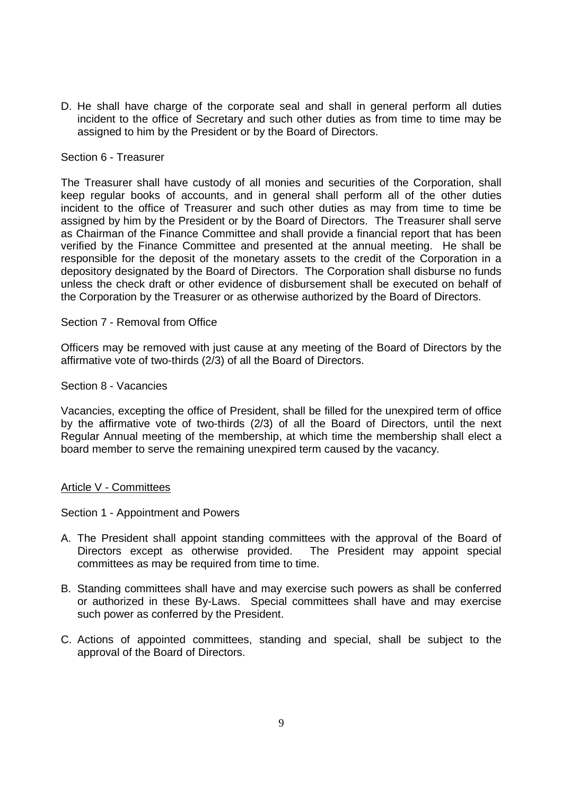D. He shall have charge of the corporate seal and shall in general perform all duties incident to the office of Secretary and such other duties as from time to time may be assigned to him by the President or by the Board of Directors.

### Section 6 - Treasurer

The Treasurer shall have custody of all monies and securities of the Corporation, shall keep regular books of accounts, and in general shall perform all of the other duties incident to the office of Treasurer and such other duties as may from time to time be assigned by him by the President or by the Board of Directors. The Treasurer shall serve as Chairman of the Finance Committee and shall provide a financial report that has been verified by the Finance Committee and presented at the annual meeting. He shall be responsible for the deposit of the monetary assets to the credit of the Corporation in a depository designated by the Board of Directors. The Corporation shall disburse no funds unless the check draft or other evidence of disbursement shall be executed on behalf of the Corporation by the Treasurer or as otherwise authorized by the Board of Directors.

### Section 7 - Removal from Office

Officers may be removed with just cause at any meeting of the Board of Directors by the affirmative vote of two-thirds (2/3) of all the Board of Directors.

#### Section 8 - Vacancies

Vacancies, excepting the office of President, shall be filled for the unexpired term of office by the affirmative vote of two-thirds (2/3) of all the Board of Directors, until the next Regular Annual meeting of the membership, at which time the membership shall elect a board member to serve the remaining unexpired term caused by the vacancy.

#### Article V - Committees

Section 1 - Appointment and Powers

- A. The President shall appoint standing committees with the approval of the Board of Directors except as otherwise provided. The President may appoint special committees as may be required from time to time.
- B. Standing committees shall have and may exercise such powers as shall be conferred or authorized in these By-Laws. Special committees shall have and may exercise such power as conferred by the President.
- C. Actions of appointed committees, standing and special, shall be subject to the approval of the Board of Directors.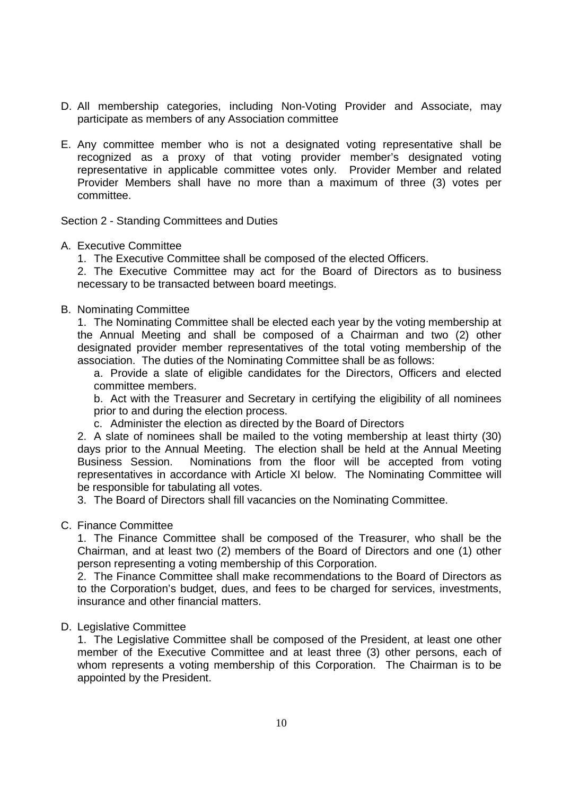- D. All membership categories, including Non-Voting Provider and Associate, may participate as members of any Association committee
- E. Any committee member who is not a designated voting representative shall be recognized as a proxy of that voting provider member's designated voting representative in applicable committee votes only. Provider Member and related Provider Members shall have no more than a maximum of three (3) votes per committee.

Section 2 - Standing Committees and Duties

## A. Executive Committee

1. The Executive Committee shall be composed of the elected Officers.

2. The Executive Committee may act for the Board of Directors as to business necessary to be transacted between board meetings.

### B. Nominating Committee

1. The Nominating Committee shall be elected each year by the voting membership at the Annual Meeting and shall be composed of a Chairman and two (2) other designated provider member representatives of the total voting membership of the association. The duties of the Nominating Committee shall be as follows:

a. Provide a slate of eligible candidates for the Directors, Officers and elected committee members.

b. Act with the Treasurer and Secretary in certifying the eligibility of all nominees prior to and during the election process.

c. Administer the election as directed by the Board of Directors

2. A slate of nominees shall be mailed to the voting membership at least thirty (30) days prior to the Annual Meeting. The election shall be held at the Annual Meeting Business Session. Nominations from the floor will be accepted from voting representatives in accordance with Article XI below. The Nominating Committee will be responsible for tabulating all votes.

3. The Board of Directors shall fill vacancies on the Nominating Committee.

## C. Finance Committee

1. The Finance Committee shall be composed of the Treasurer, who shall be the Chairman, and at least two (2) members of the Board of Directors and one (1) other person representing a voting membership of this Corporation.

2. The Finance Committee shall make recommendations to the Board of Directors as to the Corporation's budget, dues, and fees to be charged for services, investments, insurance and other financial matters.

## D. Legislative Committee

1. The Legislative Committee shall be composed of the President, at least one other member of the Executive Committee and at least three (3) other persons, each of whom represents a voting membership of this Corporation. The Chairman is to be appointed by the President.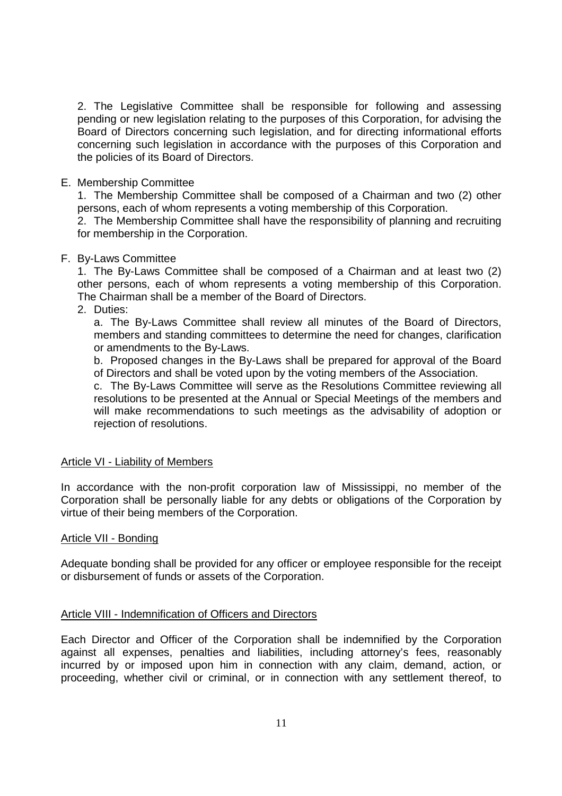2. The Legislative Committee shall be responsible for following and assessing pending or new legislation relating to the purposes of this Corporation, for advising the Board of Directors concerning such legislation, and for directing informational efforts concerning such legislation in accordance with the purposes of this Corporation and the policies of its Board of Directors.

## E. Membership Committee

1. The Membership Committee shall be composed of a Chairman and two (2) other persons, each of whom represents a voting membership of this Corporation.

2. The Membership Committee shall have the responsibility of planning and recruiting for membership in the Corporation.

# F. By-Laws Committee

1. The By-Laws Committee shall be composed of a Chairman and at least two (2) other persons, each of whom represents a voting membership of this Corporation. The Chairman shall be a member of the Board of Directors.

# 2. Duties:

a. The By-Laws Committee shall review all minutes of the Board of Directors, members and standing committees to determine the need for changes, clarification or amendments to the By-Laws.

b. Proposed changes in the By-Laws shall be prepared for approval of the Board of Directors and shall be voted upon by the voting members of the Association.

c. The By-Laws Committee will serve as the Resolutions Committee reviewing all resolutions to be presented at the Annual or Special Meetings of the members and will make recommendations to such meetings as the advisability of adoption or rejection of resolutions.

## Article VI - Liability of Members

In accordance with the non-profit corporation law of Mississippi, no member of the Corporation shall be personally liable for any debts or obligations of the Corporation by virtue of their being members of the Corporation.

## Article VII - Bonding

Adequate bonding shall be provided for any officer or employee responsible for the receipt or disbursement of funds or assets of the Corporation.

# Article VIII - Indemnification of Officers and Directors

Each Director and Officer of the Corporation shall be indemnified by the Corporation against all expenses, penalties and liabilities, including attorney's fees, reasonably incurred by or imposed upon him in connection with any claim, demand, action, or proceeding, whether civil or criminal, or in connection with any settlement thereof, to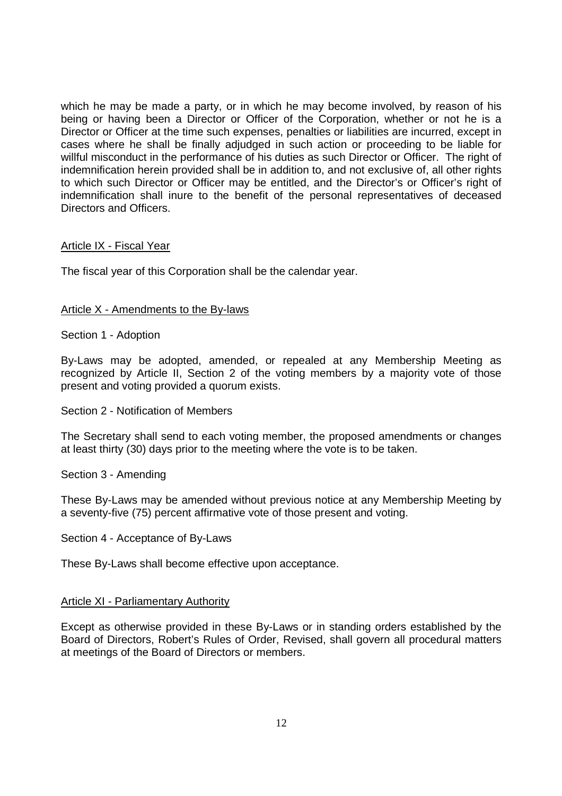which he may be made a party, or in which he may become involved, by reason of his being or having been a Director or Officer of the Corporation, whether or not he is a Director or Officer at the time such expenses, penalties or liabilities are incurred, except in cases where he shall be finally adjudged in such action or proceeding to be liable for willful misconduct in the performance of his duties as such Director or Officer. The right of indemnification herein provided shall be in addition to, and not exclusive of, all other rights to which such Director or Officer may be entitled, and the Director's or Officer's right of indemnification shall inure to the benefit of the personal representatives of deceased Directors and Officers.

## Article IX - Fiscal Year

The fiscal year of this Corporation shall be the calendar year.

### Article X - Amendments to the By-laws

Section 1 - Adoption

By-Laws may be adopted, amended, or repealed at any Membership Meeting as recognized by Article II, Section 2 of the voting members by a majority vote of those present and voting provided a quorum exists.

Section 2 - Notification of Members

The Secretary shall send to each voting member, the proposed amendments or changes at least thirty (30) days prior to the meeting where the vote is to be taken.

Section 3 - Amending

These By-Laws may be amended without previous notice at any Membership Meeting by a seventy-five (75) percent affirmative vote of those present and voting.

Section 4 - Acceptance of By-Laws

These By-Laws shall become effective upon acceptance.

#### Article XI - Parliamentary Authority

Except as otherwise provided in these By-Laws or in standing orders established by the Board of Directors, Robert's Rules of Order, Revised, shall govern all procedural matters at meetings of the Board of Directors or members.